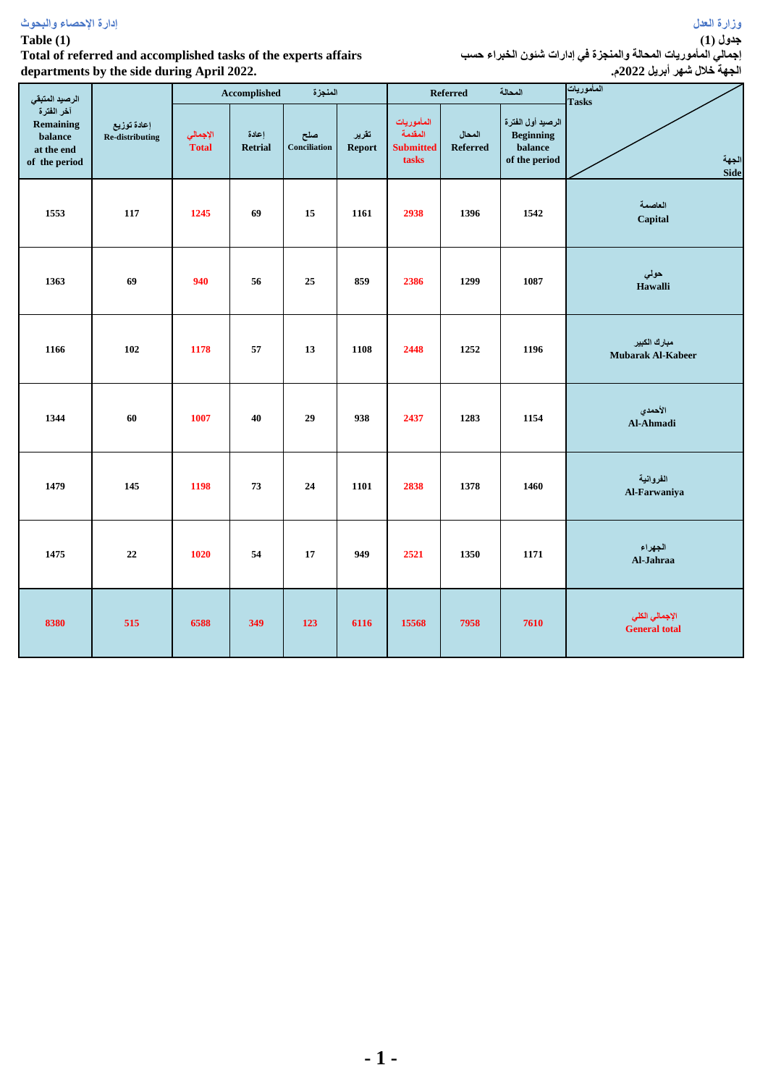## **Table (1)**

# **Total of referred and accomplished tasks of the experts affairs departments by the side during April 2022.**

|    |           | إجمالي المأموريات المحالة والمنجزة في إدارات شنون الخبراء حسب<br>الجهة خلال شهر أبريل 2022م. | جدول (1) |
|----|-----------|----------------------------------------------------------------------------------------------|----------|
| J. | $2n - 3n$ | المأمور بات                                                                                  |          |

| الرصيد المتبقي                                                    |                                |                          | Accomplished     | المنجزة                    |                        |                                                    | <b>Referred</b>           | المحالة                                                           | المأموريات<br><b>Tasks</b>               |
|-------------------------------------------------------------------|--------------------------------|--------------------------|------------------|----------------------------|------------------------|----------------------------------------------------|---------------------------|-------------------------------------------------------------------|------------------------------------------|
| آخر الفترة<br>Remaining<br>balance<br>at the end<br>of the period | إعادة توزيع<br>Re-distributing | الإجمالي<br><b>Total</b> | إعادة<br>Retrial | صلح<br><b>Conciliation</b> | تقرير<br><b>Report</b> | المأموريات<br>المقدمة<br><b>Submitted</b><br>tasks | المحال<br><b>Referred</b> | الرصيد أول الفترة<br><b>Beginning</b><br>balance<br>of the period | الجهة<br>Side                            |
| 1553                                                              | 117                            | 1245                     | 69               | 15                         | 1161                   | 2938                                               | 1396                      | 1542                                                              | العاصمة<br>Capital                       |
| 1363                                                              | 69                             | 940                      | 56               | 25                         | 859                    | 2386                                               | 1299                      | 1087                                                              | حولي<br>Hawalli                          |
| 1166                                                              | 102                            | 1178                     | 57               | 13                         | 1108                   | 2448                                               | 1252                      | 1196                                                              | مبارك الكبير<br><b>Mubarak Al-Kabeer</b> |
| 1344                                                              | 60                             | 1007                     | 40               | 29                         | 938                    | 2437                                               | 1283                      | 1154                                                              | الأحمدي<br>Al-Ahmadi                     |
| 1479                                                              | 145                            | 1198                     | 73               | 24                         | 1101                   | 2838                                               | 1378                      | 1460                                                              | الفروانية<br>Al-Farwaniya                |
| 1475                                                              | 22                             | 1020                     | 54               | 17                         | 949                    | 2521                                               | 1350                      | 1171                                                              | الجهراء<br>Al-Jahraa                     |
| 8380                                                              | 515                            | 6588                     | 349              | 123                        | 6116                   | 15568                                              | 7958                      | 7610                                                              | الإجمالي الكلي<br><b>General total</b>   |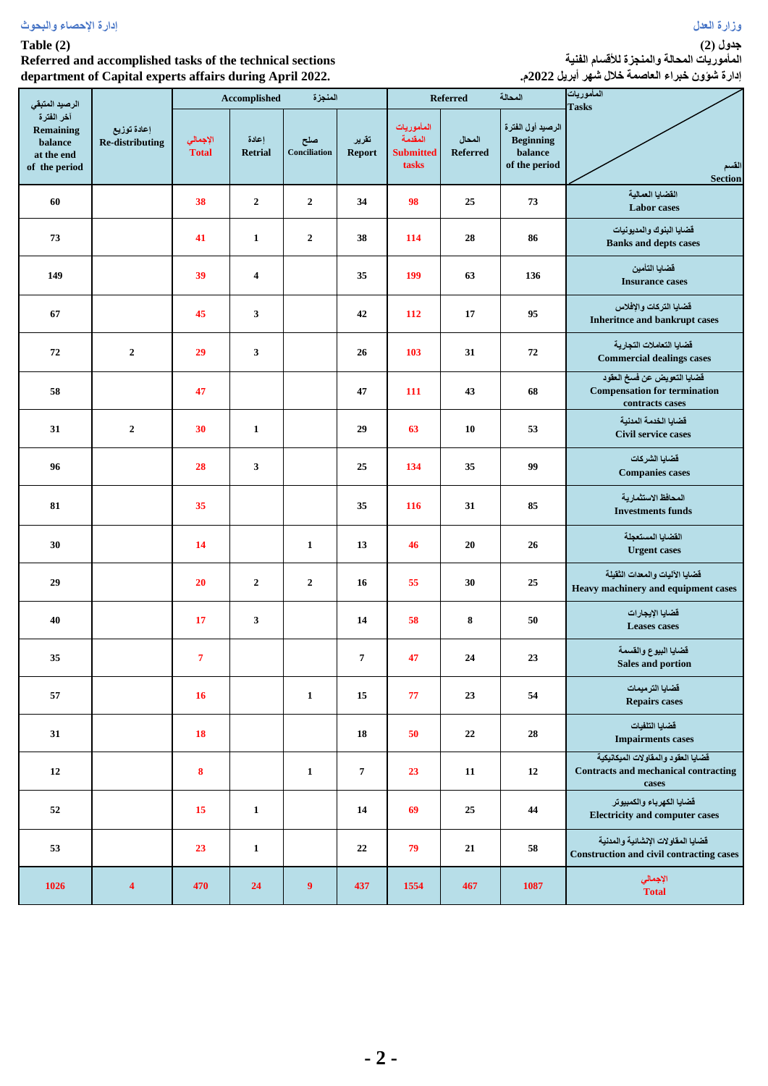| إدارة الإحصاء والبحوث | رزارة العدل |
|-----------------------|-------------|
|-----------------------|-------------|

#### **Table (2)**

**Referred and accomplished tasks of the technical sections department of Capital experts affairs during April 2022.**

**جدول )2( المأموريات المحالة والمنجزة لألقسام الفنية إدارة شؤون خبراء العاصمة خالل شهر أبريل 2022م.**

| ×.                                                                                  | ∵ ∎<br>л.                             |                          | $\sigma$ r                              | المنجزة             |                 |                                                    | <b>Referred</b>           | المحالة                                                           | المأموريات                                                                                  |
|-------------------------------------------------------------------------------------|---------------------------------------|--------------------------|-----------------------------------------|---------------------|-----------------|----------------------------------------------------|---------------------------|-------------------------------------------------------------------|---------------------------------------------------------------------------------------------|
| الرصيد المتبقى<br>آخر الفترة<br>Remaining<br>balance<br>at the end<br>of the period | إعادة توزيع<br><b>Re-distributing</b> | الإجمالي<br><b>Total</b> | Accomplished<br>إعادة<br><b>Retrial</b> | صلح<br>Conciliation | تقرير<br>Report | المأموريات<br>المقدمة<br><b>Submitted</b><br>tasks | المحال<br><b>Referred</b> | الرصيد أول الفترة<br><b>Beginning</b><br>balance<br>of the period | <b>Tasks</b><br>القسم<br><b>Section</b>                                                     |
| 60                                                                                  |                                       | 38                       | $\overline{2}$                          | $\mathbf{2}$        | 34              | 98                                                 | 25                        | 73                                                                | القضايا العمالية<br>Labor cases                                                             |
| 73                                                                                  |                                       | 41                       | $\mathbf{1}$                            | $\mathbf{2}$        | 38              | 114                                                | 28                        | 86                                                                | قضايا البنوك والمديونيات<br><b>Banks and depts cases</b>                                    |
| 149                                                                                 |                                       | 39                       | $\overline{\mathbf{4}}$                 |                     | 35              | 199                                                | 63                        | 136                                                               | قضايا التأمين<br><b>Insurance cases</b>                                                     |
| 67                                                                                  |                                       | 45                       | 3                                       |                     | 42              | 112                                                | 17                        | 95                                                                | فضايا التركات والإفلاس<br><b>Inheritnce and bankrupt cases</b>                              |
| 72                                                                                  | $\overline{2}$                        | 29                       | $\mathbf{3}$                            |                     | 26              | 103                                                | 31                        | 72                                                                | قضايا التعاملات التجارية<br><b>Commercial dealings cases</b>                                |
| 58                                                                                  |                                       | 47                       |                                         |                     | 47              | 111                                                | 43                        | 68                                                                | قضايا التعويض عن فسخ العقود<br><b>Compensation for termination</b><br>contracts cases       |
| 31                                                                                  | $\mathbf{2}$                          | 30                       | $\mathbf{1}$                            |                     | 29              | 63                                                 | 10                        | 53                                                                | قضايا الخدمة المدنية<br>Civil service cases                                                 |
| 96                                                                                  |                                       | 28                       | 3                                       |                     | 25              | 134                                                | 35                        | 99                                                                | قضايا الشركات<br><b>Companies cases</b>                                                     |
| 81                                                                                  |                                       | 35                       |                                         |                     | 35              | 116                                                | 31                        | 85                                                                | المحافظ الاستثمارية<br><b>Investments funds</b>                                             |
| 30                                                                                  |                                       | 14                       |                                         | $\mathbf{1}$        | 13              | 46                                                 | 20                        | 26                                                                | القضايا المستعجلة<br><b>Urgent</b> cases                                                    |
| 29                                                                                  |                                       | 20                       | $\mathbf{2}$                            | $\boldsymbol{2}$    | 16              | 55                                                 | 30                        | 25                                                                | قضايا الآليات والمعدات الثقيلة<br>Heavy machinery and equipment cases                       |
| 40                                                                                  |                                       | 17                       | 3                                       |                     | 14              | 58                                                 | 8                         | ${\bf 50}$                                                        | قضايا الإيجارات<br>Leases cases                                                             |
| $35\,$                                                                              |                                       | $\overline{7}$           |                                         |                     | 7               | 47                                                 | 24                        | $23\,$                                                            | فضايا البيوع والقسمة<br>Sales and portion                                                   |
| 57                                                                                  |                                       | 16                       |                                         | $\mathbf{1}$        | 15              | 77                                                 | 23                        | 54                                                                | فضايا الترميمات<br><b>Repairs cases</b>                                                     |
| 31                                                                                  |                                       | 18                       |                                         |                     | 18              | 50                                                 | 22                        | 28                                                                | فضايا التلفيات<br><b>Impairments cases</b>                                                  |
| 12                                                                                  |                                       | 8                        |                                         | $\mathbf{1}$        | $\overline{7}$  | 23                                                 | 11                        | ${\bf 12}$                                                        | فضايا العقود والمقاولات الميكانيكية<br><b>Contracts and mechanical contracting</b><br>cases |
| 52                                                                                  |                                       | 15                       | $\mathbf{1}$                            |                     | 14              | 69                                                 | 25                        | 44                                                                | قضايا الكهرباء والكمبيوتر<br><b>Electricity and computer cases</b>                          |
| 53                                                                                  |                                       | 23                       | $\mathbf{1}$                            |                     | 22              | 79                                                 | 21                        | 58                                                                | فضايا المفاولات الإنشائية والمدنية<br>Construction and civil contracting cases              |
| 1026                                                                                | $\overline{\mathbf{4}}$               | 470                      | 24                                      | 9 <sup>°</sup>      | 437             | 1554                                               | 467                       | 1087                                                              | الإجمالي<br>Total                                                                           |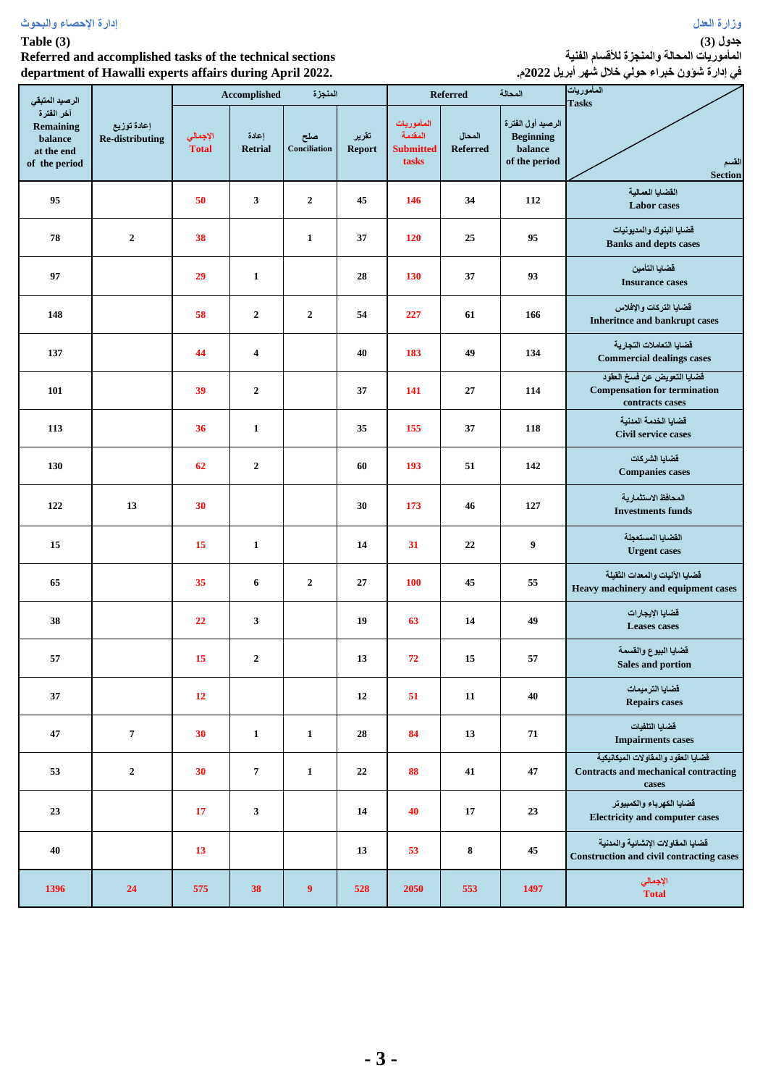| إدارة الإحصاء والبحوث | رزارة العدل |  |  |
|-----------------------|-------------|--|--|
|                       |             |  |  |

## **Table (3)**

**Referred and accomplished tasks of the technical sections department of Hawalli experts affairs during April 2022.**

**المأموريات المحالة والمنجزة لألقسام الفنية في إدارة شؤون خبراء حولي خالل شهر أبريل 2022م.**

|                                                            |                                       |                          | . .                     |                         |                        |                                                    |                           |                                                                   | ÷ -                                                                                         |
|------------------------------------------------------------|---------------------------------------|--------------------------|-------------------------|-------------------------|------------------------|----------------------------------------------------|---------------------------|-------------------------------------------------------------------|---------------------------------------------------------------------------------------------|
| الرصيد المتبقى<br>آخر الفترة                               |                                       |                          | Accomplished            | المنجزة                 |                        |                                                    | Referred                  | المحالة                                                           | المأموريات<br><b>Tasks</b>                                                                  |
| <b>Remaining</b><br>balance<br>at the end<br>of the period | إعادة توزيع<br><b>Re-distributing</b> | الإجمالي<br><b>Total</b> | إعادة<br><b>Retrial</b> | صلح<br>Conciliation     | تقرير<br><b>Report</b> | المأموريات<br>المقدمة<br><b>Submitted</b><br>tasks | المحال<br><b>Referred</b> | الرصيد أول الفترة<br><b>Beginning</b><br>balance<br>of the period | لقسم<br>Section                                                                             |
| 95                                                         |                                       | 50                       | 3                       | $\mathbf{2}$            | 45                     | 146                                                | 34                        | 112                                                               | القضايا العمالية<br><b>Labor</b> cases                                                      |
| 78                                                         | $\boldsymbol{2}$                      | 38                       |                         | $\mathbf{1}$            | 37                     | 120                                                | 25                        | 95                                                                | قضايا البنوك والمديونيات<br><b>Banks and depts cases</b>                                    |
| 97                                                         |                                       | 29                       | $\mathbf{1}$            |                         | 28                     | 130                                                | 37                        | 93                                                                | قضايا التأمين<br><b>Insurance cases</b>                                                     |
| 148                                                        |                                       | 58                       | $\boldsymbol{2}$        | $\boldsymbol{2}$        | 54                     | 227                                                | 61                        | 166                                                               | قضايا التركات والإفلاس<br><b>Inheritnce and bankrupt cases</b>                              |
| 137                                                        |                                       | 44                       | $\overline{\mathbf{4}}$ |                         | 40                     | 183                                                | 49                        | 134                                                               | فضايا التعاملات التجارية<br><b>Commercial dealings cases</b>                                |
| 101                                                        |                                       | 39                       | $\boldsymbol{2}$        |                         | 37                     | 141                                                | 27                        | 114                                                               | فضايا التعويض عن فسخ العقود<br><b>Compensation for termination</b><br>contracts cases       |
| 113                                                        |                                       | 36                       | $\mathbf{1}$            |                         | 35                     | 155                                                | 37                        | 118                                                               | قضايا الخدمة المدنية<br>Civil service cases                                                 |
| 130                                                        |                                       | 62                       | $\mathbf 2$             |                         | 60                     | 193                                                | 51                        | 142                                                               | فضايا الشركات<br><b>Companies cases</b>                                                     |
| 122                                                        | 13                                    | 30                       |                         |                         | 30                     | 173                                                | 46                        | 127                                                               | المحافظ الاستثمارية<br><b>Investments funds</b>                                             |
| 15                                                         |                                       | 15                       | $\mathbf{1}$            |                         | 14                     | 31                                                 | 22                        | $\boldsymbol{9}$                                                  | القضايا المستعجلة<br><b>Urgent cases</b>                                                    |
| 65                                                         |                                       | 35                       | 6                       | $\boldsymbol{2}$        | 27                     | <b>100</b>                                         | 45                        | 55                                                                | فضايا الآليات والمعدات الثقيلة<br>Heavy machinery and equipment cases                       |
| 38                                                         |                                       | 22                       | 3                       |                         | 19                     | 63                                                 | 14                        | 49                                                                | قضايا الإيجارات<br><b>Leases</b> cases                                                      |
| 57                                                         |                                       | 15                       | 2                       |                         | 13                     | 72                                                 | 15                        | 57                                                                | فضايا البيوع والقسمة<br>Sales and portion                                                   |
| $37\,$                                                     |                                       | 12                       |                         |                         | 12                     | 51                                                 | ${\bf 11}$                | 40                                                                | قضايا الترميمات<br><b>Repairs cases</b>                                                     |
| 47                                                         | 7                                     | 30                       | $\mathbf{1}$            | $\mathbf{1}$            | 28                     | 84                                                 | 13                        | 71                                                                | فضايا التلفيات<br><b>Impairments cases</b>                                                  |
| 53                                                         | $\boldsymbol{2}$                      | 30                       | $\pmb{7}$               | $\mathbf{1}$            | 22                     | 88                                                 | 41                        | 47                                                                | قضايا العقود والمقاولات الميكانيكية<br><b>Contracts and mechanical contracting</b><br>cases |
| 23                                                         |                                       | 17                       | $\mathbf{3}$            |                         | 14                     | 40                                                 | 17                        | 23                                                                | قضايا الكهرباء والكمبيوتر<br><b>Electricity and computer cases</b>                          |
| $40\,$                                                     |                                       | 13                       |                         |                         | 13                     | 53                                                 | 8                         | 45                                                                | فضايا المقاولات الإنشائية والمدنية<br><b>Construction and civil contracting cases</b>       |
| 1396                                                       | 24                                    | 575                      | 38                      | $\overline{\mathbf{9}}$ | 528                    | 2050                                               | 553                       | 1497                                                              | الإجمالي<br>Total                                                                           |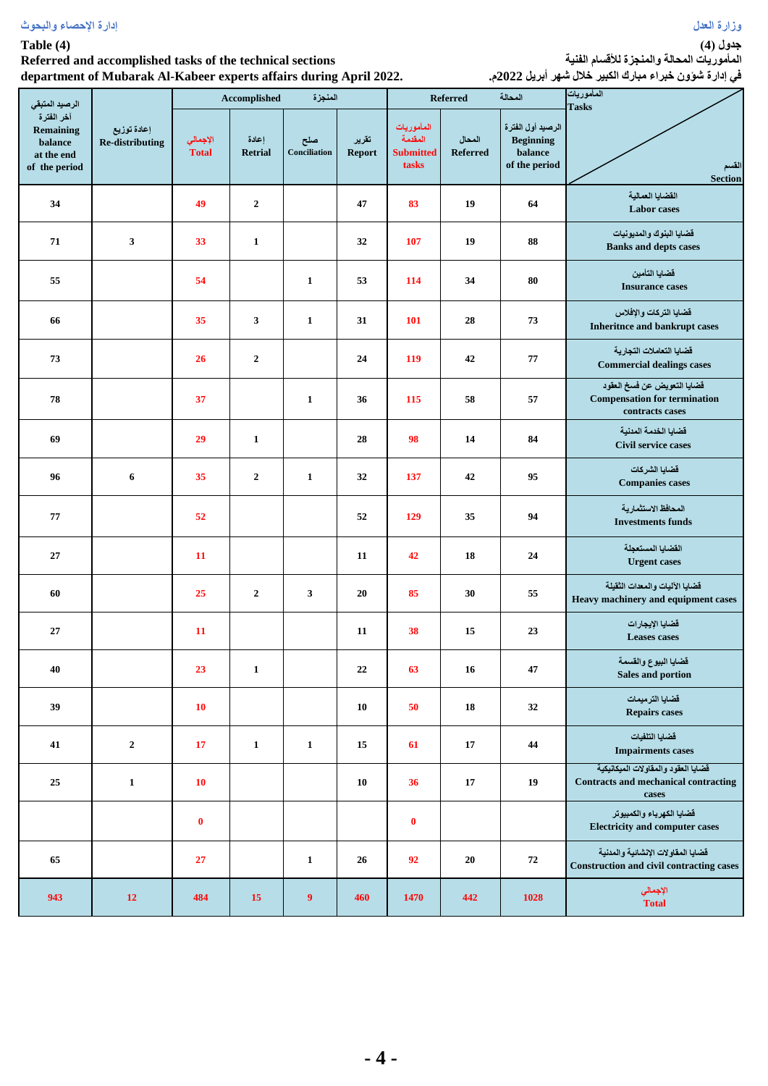## **Table (4)**

#### **Referred and accomplished tasks of the technical sections department of Mubarak Al-Kabeer experts affairs during April 2022.**

**جدول )4(**

**المأموريات المحالة والمنجزة لألقسام الفنية في إدارة شؤون خبراء مبارك الكبير خالل شهر أبريل 2022م.**

| الرصيد المتبقى                                                           |                                       |                          | Accomplished            | المنجزة             |                 |                                                    | Referred                  | المحالة                                                           | المأموريات<br><b>Tasks</b>                                                                  |
|--------------------------------------------------------------------------|---------------------------------------|--------------------------|-------------------------|---------------------|-----------------|----------------------------------------------------|---------------------------|-------------------------------------------------------------------|---------------------------------------------------------------------------------------------|
| آخر الفترة<br><b>Remaining</b><br>balance<br>at the end<br>of the period | إعادة توزيع<br><b>Re-distributing</b> | الإجمالي<br><b>Total</b> | إعادة<br><b>Retrial</b> | صلح<br>Conciliation | تقرير<br>Report | المأموريات<br>المقدمة<br><b>Submitted</b><br>tasks | المحال<br><b>Referred</b> | الرصيد أول الفترة<br><b>Beginning</b><br>balance<br>of the period | القسم<br><b>Section</b>                                                                     |
| 34                                                                       |                                       | 49                       | $\overline{2}$          |                     | 47              | 83                                                 | 19                        | 64                                                                | القضايا العمالية<br>Labor cases                                                             |
| 71                                                                       | 3                                     | 33                       | $\mathbf{1}$            |                     | 32              | 107                                                | 19                        | 88                                                                | قضايا البنوك والمديونيات<br><b>Banks and depts cases</b>                                    |
| 55                                                                       |                                       | 54                       |                         | $\mathbf{1}$        | 53              | 114                                                | 34                        | 80                                                                | فضايا التأمين<br><b>Insurance cases</b>                                                     |
| 66                                                                       |                                       | 35                       | 3                       | $\mathbf{1}$        | 31              | 101                                                | 28                        | 73                                                                | قضايا التركات والإفلاس<br><b>Inheritnce and bankrupt cases</b>                              |
| 73                                                                       |                                       | 26                       | $\overline{2}$          |                     | 24              | 119                                                | 42                        | 77                                                                | قضايا التعاملات التجارية<br><b>Commercial dealings cases</b>                                |
| 78                                                                       |                                       | 37                       |                         | $\mathbf{1}$        | 36              | 115                                                | 58                        | 57                                                                | قضايا التعويض عن فسخ العقود<br><b>Compensation for termination</b><br>contracts cases       |
| 69                                                                       |                                       | 29                       | $\mathbf{1}$            |                     | 28              | 98                                                 | 14                        | 84                                                                | قضايا الخدمة المدنية<br>Civil service cases                                                 |
| 96                                                                       | 6                                     | 35                       | $\overline{2}$          | $\mathbf{1}$        | 32              | 137                                                | 42                        | 95                                                                | فضايا الشركات<br><b>Companies cases</b>                                                     |
| 77                                                                       |                                       | 52                       |                         |                     | 52              | 129                                                | 35                        | 94                                                                | المحافظ الاستثمار ية<br><b>Investments funds</b>                                            |
| 27                                                                       |                                       | 11                       |                         |                     | 11              | 42                                                 | 18                        | 24                                                                | القضايا المستعجلة<br><b>Urgent cases</b>                                                    |
| 60                                                                       |                                       | 25                       | $\mathbf 2$             | 3                   | 20              | 85                                                 | 30                        | 55                                                                | قضايا الآليات والمعدات الثقيلة<br>Heavy machinery and equipment cases                       |
| 27                                                                       |                                       | 11                       |                         |                     | 11              | 38                                                 | 15                        | 23                                                                | قضايا الإيجارات<br><b>Leases</b> cases                                                      |
| 40                                                                       |                                       | 23                       | $\mathbf{1}$            |                     | 22              | 63                                                 | 16                        | 47                                                                | قضايا البيوع والقسمة<br>Sales and portion                                                   |
| 39                                                                       |                                       | <b>10</b>                |                         |                     | 10              | 50                                                 | 18                        | 32                                                                | قضايا الترميمات<br><b>Repairs cases</b>                                                     |
| 41                                                                       | $\boldsymbol{2}$                      | 17                       | $\mathbf{1}$            | $\mathbf{1}$        | 15              | 61                                                 | 17                        | 44                                                                | قضايا التلفيات<br><b>Impairments cases</b>                                                  |
| 25                                                                       | $\mathbf{1}$                          | 10                       |                         |                     | <b>10</b>       | 36                                                 | 17                        | 19                                                                | فضايا العقود والمفاولات الميكانيكية<br><b>Contracts and mechanical contracting</b><br>cases |
|                                                                          |                                       | $\bf{0}$                 |                         |                     |                 | $\bf{0}$                                           |                           |                                                                   | قضايا الكهرباء والكمبيوتر<br><b>Electricity and computer cases</b>                          |
| 65                                                                       |                                       | 27                       |                         | $\mathbf{1}$        | 26              | 92                                                 | 20                        | ${\bf 72}$                                                        | فضايا المفاولات الإنشائية والمدنية<br>Construction and civil contracting cases              |
| 943                                                                      | 12                                    | 484                      | 15                      | $\boldsymbol{9}$    | 460             | 1470                                               | 442                       | 1028                                                              | الإجمالي<br><b>Total</b>                                                                    |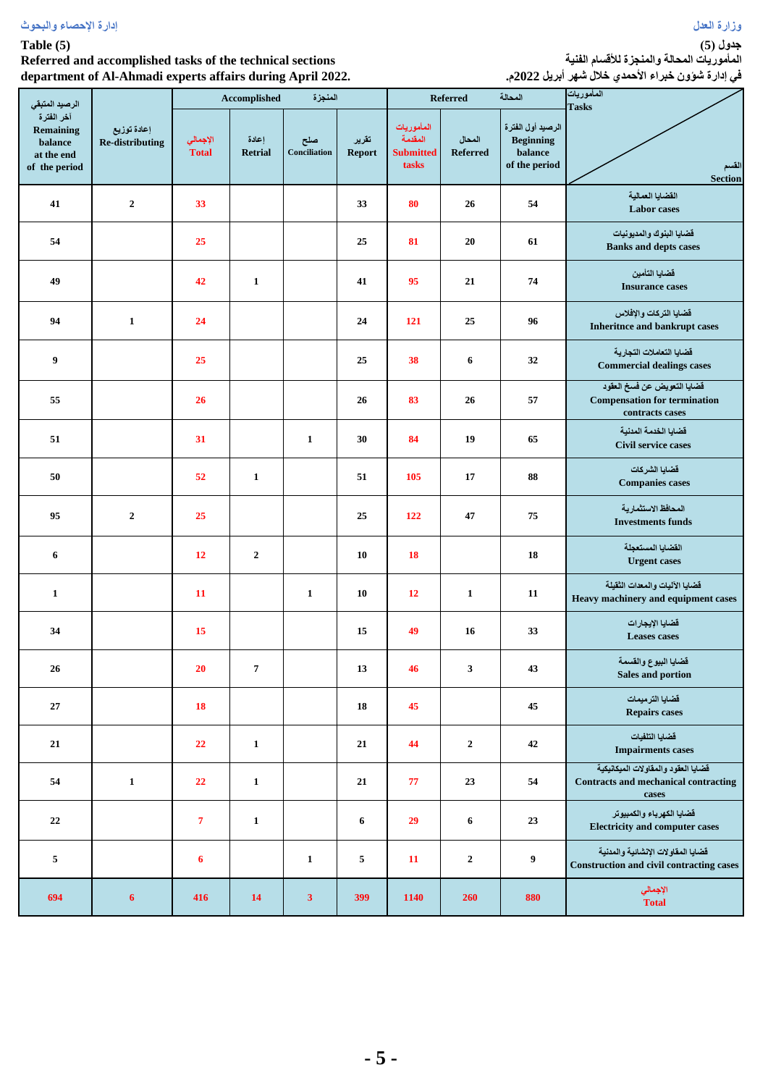#### **Table (5)**

#### **Referred and accomplished tasks of the technical sections department of Al-Ahmadi experts affairs during April 2022.**

**جدول )5( المأموريات المحالة والمنجزة لألقسام الفنية**

|                                                                          | department of Al-Ahmadi experts affairs during April 2022. | في إدارة شوون خبراء الأحمدي خلال شهر أبريل 2022م. |                         |                     |                        |                                                    |                           |                                                                   |                                                                                             |
|--------------------------------------------------------------------------|------------------------------------------------------------|---------------------------------------------------|-------------------------|---------------------|------------------------|----------------------------------------------------|---------------------------|-------------------------------------------------------------------|---------------------------------------------------------------------------------------------|
| الرصيد المتبقى                                                           |                                                            |                                                   | <b>Accomplished</b>     | المنجزة             |                        |                                                    | <b>Referred</b>           | المحالة                                                           | المأموريات<br><b>Tasks</b>                                                                  |
| آخر الفترة<br><b>Remaining</b><br>balance<br>at the end<br>of the period | إعادة توزيع<br><b>Re-distributing</b>                      | الإجمالي<br><b>Total</b>                          | إعادة<br><b>Retrial</b> | صلح<br>Conciliation | تقرير<br><b>Report</b> | المأموريات<br>المقدمة<br><b>Submitted</b><br>tasks | المحال<br><b>Referred</b> | الرصيد أول الفترة<br><b>Beginning</b><br>balance<br>of the period | القسم<br><b>Section</b>                                                                     |
| 41                                                                       | $\overline{2}$                                             | 33                                                |                         |                     | 33                     | 80                                                 | 26                        | 54                                                                | القضايا العمالية<br><b>Labor</b> cases                                                      |
| 54                                                                       |                                                            | 25                                                |                         |                     | 25                     | 81                                                 | 20                        | 61                                                                | قضايا البنوك والمديونيات<br><b>Banks and depts cases</b>                                    |
| 49                                                                       |                                                            | 42                                                | $\mathbf{1}$            |                     | 41                     | 95                                                 | 21                        | 74                                                                | قضايا التأمين<br><b>Insurance cases</b>                                                     |
| 94                                                                       | $\mathbf{1}$                                               | 24                                                |                         |                     | 24                     | 121                                                | 25                        | 96                                                                | فضايا التركات والإفلاس<br>Inheritnce and bankrupt cases                                     |
| 9                                                                        |                                                            | 25                                                |                         |                     | 25                     | 38                                                 | 6                         | 32                                                                | فضايا التعاملات التجارية<br><b>Commercial dealings cases</b>                                |
| 55                                                                       |                                                            | 26                                                |                         |                     | 26                     | 83                                                 | 26                        | 57                                                                | قضايا التعويض عن فسخ العقود<br><b>Compensation for termination</b><br>contracts cases       |
| 51                                                                       |                                                            | 31                                                |                         | $\mathbf{1}$        | 30                     | 84                                                 | 19                        | 65                                                                | قضايا الخدمة المدنية<br>Civil service cases                                                 |
| 50                                                                       |                                                            | 52                                                | $\mathbf{1}$            |                     | 51                     | 105                                                | 17                        | 88                                                                | قضايا الشركات<br><b>Companies cases</b>                                                     |
| 95                                                                       | $\overline{2}$                                             | 25                                                |                         |                     | 25                     | 122                                                | 47                        | 75                                                                | المحافظ الاستثمارية<br><b>Investments funds</b>                                             |
| 6                                                                        |                                                            | 12                                                | $\boldsymbol{2}$        |                     | 10                     | <b>18</b>                                          |                           | 18                                                                | القضايا المستعجلة<br><b>Urgent cases</b>                                                    |
| $\mathbf{1}$                                                             |                                                            | 11                                                |                         | $\mathbf{1}$        | 10                     | 12                                                 | $\mathbf{1}$              | 11                                                                | فضايا الآليات والمعدات الثقيلة<br>Heavy machinery and equipment cases                       |
| 34                                                                       |                                                            | 15                                                |                         |                     | 15                     | 49                                                 | 16                        | 33                                                                | قضايا الإيجارات<br><b>Leases</b> cases                                                      |
| 26                                                                       |                                                            | 20                                                | $\overline{7}$          |                     | 13                     | 46                                                 | 3                         | 43                                                                | قضايا البيوع والقسمة<br>Sales and portion                                                   |
| 27                                                                       |                                                            | 18                                                |                         |                     | 18                     | 45                                                 |                           | 45                                                                | قضايا الترميمات<br><b>Repairs cases</b>                                                     |
| 21                                                                       |                                                            | 22                                                | $\mathbf{1}$            |                     | 21                     | 44                                                 | $\boldsymbol{2}$          | 42                                                                | فضايا التلفيات<br><b>Impairments cases</b>                                                  |
| 54                                                                       | $\mathbf{1}$                                               | 22                                                | $\mathbf{1}$            |                     | 21                     | 77                                                 | 23                        | 54                                                                | فضايا العقود والمقاولات الميكانيكية<br><b>Contracts and mechanical contracting</b><br>cases |
| 22                                                                       |                                                            | $\overline{7}$                                    | $\mathbf{1}$            |                     | 6                      | 29                                                 | 6                         | 23                                                                | فضايا الكهرباء والكمبيوتر<br><b>Electricity and computer cases</b>                          |
| 5                                                                        |                                                            | 6                                                 |                         | $\mathbf{1}$        | 5                      | 11                                                 | $\overline{2}$            | 9                                                                 | فضايا المفاولات الإنشائية والمدنية<br><b>Construction and civil contracting cases</b>       |
| 694                                                                      | $\boldsymbol{6}$                                           | 416                                               | 14                      | 3                   | 399                    | 1140                                               | 260                       | 880                                                               | الإجمالي<br>Total                                                                           |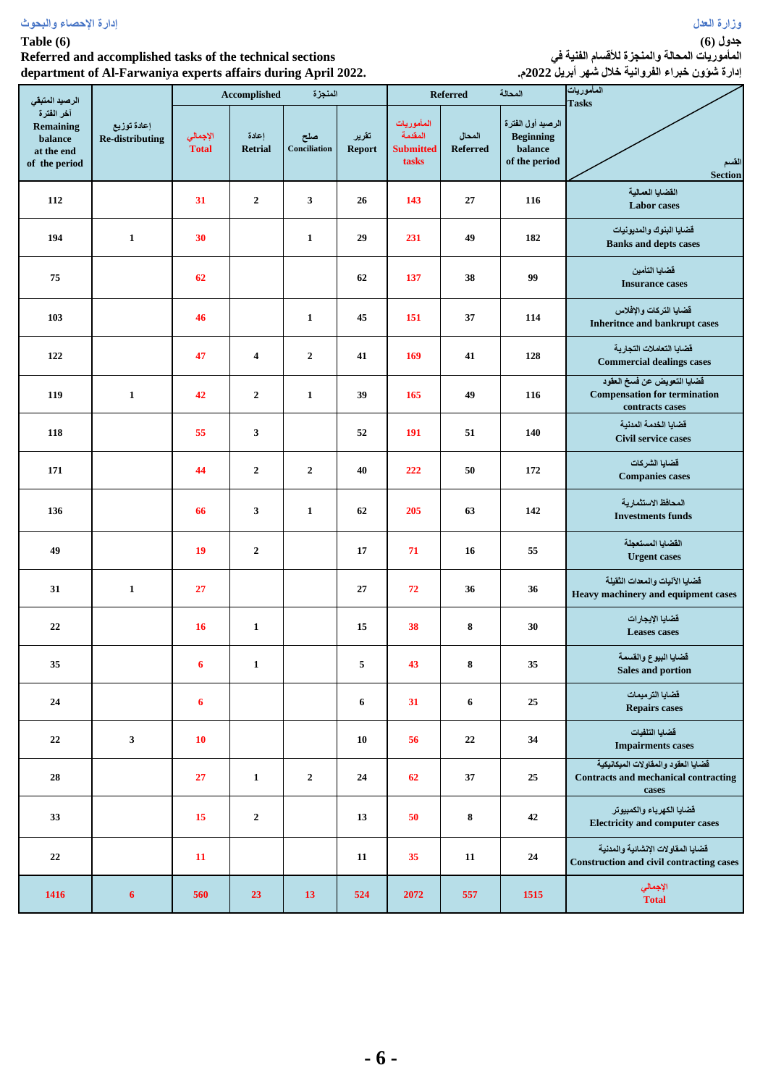## **Table (6)**

## **Referred and accomplished tasks of the technical sections department of Al-Farwaniya experts affairs during April 2022.**

**جدول )6( المأموريات المحالة والمنجزة لألقسام الفنية في إدارة شؤون خبراء الفروانية خالل شهر أبريل 2022م.**

| الرصيد المتبقى                                                    |                                       |                          | Accomplished            | المنجزة             |                        |                                                    | <b>Referred</b>           | المحالة                                                           | المأموريات<br><b>Tasks</b>                                                                  |
|-------------------------------------------------------------------|---------------------------------------|--------------------------|-------------------------|---------------------|------------------------|----------------------------------------------------|---------------------------|-------------------------------------------------------------------|---------------------------------------------------------------------------------------------|
| آخر الفترة<br>Remaining<br>balance<br>at the end<br>of the period | إعادة توزيع<br><b>Re-distributing</b> | الإجمالي<br><b>Total</b> | اعادة<br><b>Retrial</b> | صلح<br>Conciliation | تقرير<br><b>Report</b> | المأموريات<br>المقدمة<br><b>Submitted</b><br>tasks | المحال<br><b>Referred</b> | الرصيد أول الفترة<br><b>Beginning</b><br>balance<br>of the period | القسم<br><b>Section</b>                                                                     |
| 112                                                               |                                       | 31                       | $\overline{2}$          | 3                   | 26                     | 143                                                | 27                        | 116                                                               | القضايا العمالية<br><b>Labor</b> cases                                                      |
| 194                                                               | $\mathbf{1}$                          | 30                       |                         | $\mathbf{1}$        | 29                     | 231                                                | 49                        | 182                                                               | قضايا البنوك والمديونيات<br><b>Banks and depts cases</b>                                    |
| 75                                                                |                                       | 62                       |                         |                     | 62                     | 137                                                | 38                        | 99                                                                | قضايا التأمين<br><b>Insurance cases</b>                                                     |
| 103                                                               |                                       | 46                       |                         | $\mathbf{1}$        | 45                     | 151                                                | 37                        | 114                                                               | فضايا التركات والإفلاس<br><b>Inheritnce and bankrupt cases</b>                              |
| 122                                                               |                                       | 47                       | $\overline{\mathbf{4}}$ | $\overline{2}$      | 41                     | 169                                                | 41                        | 128                                                               | فضايا التعاملات التجارية<br><b>Commercial dealings cases</b>                                |
| 119                                                               | $\mathbf{1}$                          | 42                       | $\overline{2}$          | $\mathbf{1}$        | 39                     | 165                                                | 49                        | 116                                                               | قضايا التعويض عن فسخ العقود<br><b>Compensation for termination</b><br>contracts cases       |
| 118                                                               |                                       | 55                       | 3                       |                     | 52                     | 191                                                | 51                        | 140                                                               | فضايا الخدمة المدنية<br><b>Civil service cases</b>                                          |
| 171                                                               |                                       | 44                       | $\overline{2}$          | $\overline{2}$      | 40                     | 222                                                | 50                        | 172                                                               | قضايا الشركات<br><b>Companies cases</b>                                                     |
| 136                                                               |                                       | 66                       | 3                       | $\mathbf{1}$        | 62                     | 205                                                | 63                        | 142                                                               | المحافظ الاستثمارية<br><b>Investments funds</b>                                             |
| 49                                                                |                                       | 19                       | $\overline{2}$          |                     | 17                     | 71                                                 | 16                        | 55                                                                | القضايا المستعجلة<br><b>Urgent</b> cases                                                    |
| 31                                                                | $\mathbf{1}$                          | 27                       |                         |                     | 27                     | 72                                                 | 36                        | 36                                                                | فضايا الآليات والمعدات الثقيلة<br>Heavy machinery and equipment cases                       |
| 22                                                                |                                       | 16                       | $\mathbf{1}$            |                     | 15                     | 38                                                 | 8                         | 30                                                                | قضايا الإيجارات<br><b>Leases</b> cases                                                      |
| 35                                                                |                                       | 6                        | 1                       |                     | 5                      | 43                                                 | 8                         | 35                                                                | قضايا البيوع والقسمة<br>Sales and portion                                                   |
| 24                                                                |                                       | 6                        |                         |                     | 6                      | 31                                                 | $\bf{6}$                  | 25                                                                | قضايا الترميمات<br><b>Repairs cases</b>                                                     |
| 22                                                                | $\mathbf{3}$                          | 10                       |                         |                     | ${\bf 10}$             | 56                                                 | 22                        | 34                                                                | قضايا التلفيات<br><b>Impairments cases</b>                                                  |
| 28                                                                |                                       | 27                       | $\mathbf{1}$            | $\overline{2}$      | 24                     | 62                                                 | 37                        | 25                                                                | فضايا العقود والمفاولات الميكانيكية<br><b>Contracts and mechanical contracting</b><br>cases |
| 33                                                                |                                       | 15                       | $\boldsymbol{2}$        |                     | 13                     | 50                                                 | 8                         | $\bf 42$                                                          | فضايا الكهرباء والكمبيوتر<br><b>Electricity and computer cases</b>                          |
| 22                                                                |                                       | 11                       |                         |                     | ${\bf 11}$             | 35                                                 | 11                        | ${\bf 24}$                                                        | فضايا المفاولات الإنشائية والمدنية<br><b>Construction and civil contracting cases</b>       |
| 1416                                                              | 6                                     | 560                      | 23                      | 13                  | 524                    | 2072                                               | 557                       | 1515                                                              | الإجمالي<br><b>Total</b>                                                                    |